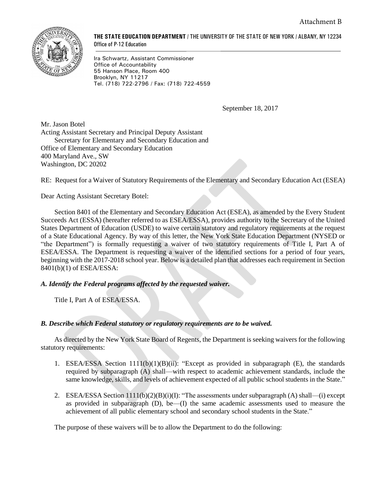

**THE STATE EDUCATION DEPARTMENT** / THE UNIVERSITY OF THE STATE OF NEW YORK / ALBANY, NY 12234 Office of P-12 Education

Ira Schwartz, Assistant Commissioner Office of Accountability 55 Hanson Place, Room 400 Brooklyn, NY 11217 Tel. (718) 722-2796 / Fax: (718) 722-4559

September 18, 2017

Mr. Jason Botel Acting Assistant Secretary and Principal Deputy Assistant Secretary for Elementary and Secondary Education and Office of Elementary and Secondary Education 400 Maryland Ave., SW Washington, DC 20202

RE: Request for a Waiver of Statutory Requirements of the Elementary and Secondary Education Act (ESEA)

Dear Acting Assistant Secretary Botel:

Section 8401 of the Elementary and Secondary Education Act (ESEA), as amended by the Every Student Succeeds Act (ESSA) (hereafter referred to as ESEA/ESSA), provides authority to the Secretary of the United States Department of Education (USDE) to waive certain statutory and regulatory requirements at the request of a State Educational Agency. By way of this letter, the New York State Education Department (NYSED or "the Department") is formally requesting a waiver of two statutory requirements of Title I, Part A of ESEA/ESSA. The Department is requesting a waiver of the identified sections for a period of four years, beginning with the 2017-2018 school year. Below is a detailed plan that addresses each requirement in Section 8401(b)(1) of ESEA/ESSA:

### *A. Identify the Federal programs affected by the requested waiver.*

Title I, Part A of ESEA/ESSA.

### *B. Describe which Federal statutory or regulatory requirements are to be waived.*

As directed by the New York State Board of Regents, the Department is seeking waivers for the following statutory requirements:

- 1. ESEA/ESSA Section 1111(b)(1)(B)(ii): "Except as provided in subparagraph (E), the standards required by subparagraph (A) shall—with respect to academic achievement standards, include the same knowledge, skills, and levels of achievement expected of all public school students in the State."
- 2. ESEA/ESSA Section  $1111(b)(2)(B)(i)(I)$ : "The assessments under subparagraph (A) shall—(i) except as provided in subparagraph (D), be—(I) the same academic assessments used to measure the achievement of all public elementary school and secondary school students in the State."

The purpose of these waivers will be to allow the Department to do the following: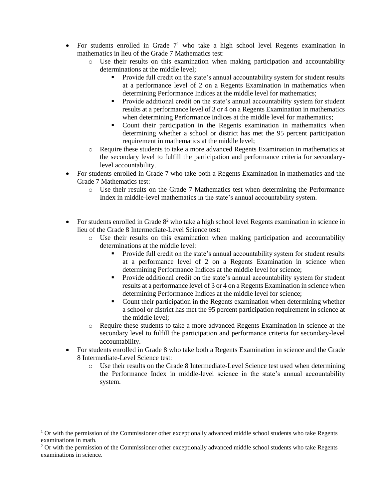- For students enrolled in Grade  $7<sup>1</sup>$  who take a high school level Regents examination in mathematics in lieu of the Grade 7 Mathematics test:
	- o Use their results on this examination when making participation and accountability determinations at the middle level;
		- Provide full credit on the state's annual accountability system for student results at a performance level of 2 on a Regents Examination in mathematics when determining Performance Indices at the middle level for mathematics;
		- **•** Provide additional credit on the state's annual accountability system for student results at a performance level of 3 or 4 on a Regents Examination in mathematics when determining Performance Indices at the middle level for mathematics;
		- Count their participation in the Regents examination in mathematics when determining whether a school or district has met the 95 percent participation requirement in mathematics at the middle level;
	- o Require these students to take a more advanced Regents Examination in mathematics at the secondary level to fulfill the participation and performance criteria for secondarylevel accountability.
- For students enrolled in Grade 7 who take both a Regents Examination in mathematics and the Grade 7 Mathematics test:
	- o Use their results on the Grade 7 Mathematics test when determining the Performance Index in middle-level mathematics in the state's annual accountability system.
- For students enrolled in Grade  $8<sup>2</sup>$  who take a high school level Regents examination in science in lieu of the Grade 8 Intermediate-Level Science test:
	- o Use their results on this examination when making participation and accountability determinations at the middle level:
		- Provide full credit on the state's annual accountability system for student results at a performance level of 2 on a Regents Examination in science when determining Performance Indices at the middle level for science;
		- **•** Provide additional credit on the state's annual accountability system for student results at a performance level of 3 or 4 on a Regents Examination in science when determining Performance Indices at the middle level for science;
		- Count their participation in the Regents examination when determining whether a school or district has met the 95 percent participation requirement in science at the middle level;
	- o Require these students to take a more advanced Regents Examination in science at the secondary level to fulfill the participation and performance criteria for secondary-level accountability.
- For students enrolled in Grade 8 who take both a Regents Examination in science and the Grade 8 Intermediate-Level Science test:
	- o Use their results on the Grade 8 Intermediate-Level Science test used when determining the Performance Index in middle-level science in the state's annual accountability system.

 $\overline{a}$ 

 $1$  Or with the permission of the Commissioner other exceptionally advanced middle school students who take Regents examinations in math.

<sup>&</sup>lt;sup>2</sup> Or with the permission of the Commissioner other exceptionally advanced middle school students who take Regents examinations in science.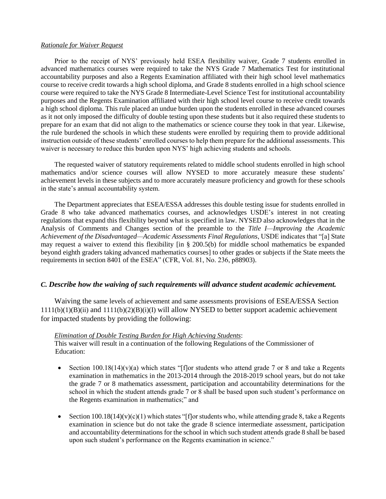#### *Rationale for Waiver Request*

Prior to the receipt of NYS' previously held ESEA flexibility waiver, Grade 7 students enrolled in advanced mathematics courses were required to take the NYS Grade 7 Mathematics Test for institutional accountability purposes and also a Regents Examination affiliated with their high school level mathematics course to receive credit towards a high school diploma, and Grade 8 students enrolled in a high school science course were required to take the NYS Grade 8 Intermediate-Level Science Test for institutional accountability purposes and the Regents Examination affiliated with their high school level course to receive credit towards a high school diploma. This rule placed an undue burden upon the students enrolled in these advanced courses as it not only imposed the difficulty of double testing upon these students but it also required these students to prepare for an exam that did not align to the mathematics or science course they took in that year. Likewise, the rule burdened the schools in which these students were enrolled by requiring them to provide additional instruction outside of these students' enrolled courses to help them prepare for the additional assessments. This waiver is necessary to reduce this burden upon NYS' high achieving students and schools.

The requested waiver of statutory requirements related to middle school students enrolled in high school mathematics and/or science courses will allow NYSED to more accurately measure these students' achievement levels in these subjects and to more accurately measure proficiency and growth for these schools in the state's annual accountability system.

The Department appreciates that ESEA/ESSA addresses this double testing issue for students enrolled in Grade 8 who take advanced mathematics courses, and acknowledges USDE's interest in not creating regulations that expand this flexibility beyond what is specified in law. NYSED also acknowledges that in the Analysis of Comments and Changes section of the preamble to the *Title I—Improving the Academic Achievement of the Disadvantaged—Academic Assessments Final Regulations*, USDE indicates that "[a] State may request a waiver to extend this flexibility [in § 200.5(b) for middle school mathematics be expanded beyond eighth graders taking advanced mathematics courses] to other grades or subjects if the State meets the requirements in section 8401 of the ESEA" (CFR, Vol. 81, No. 236, p88903).

### *C. Describe how the waiving of such requirements will advance student academic achievement.*

Waiving the same levels of achievement and same assessments provisions of ESEA/ESSA Section  $1111(b)(1)(B)(ii)$  and  $1111(b)(2)(B)(i)(I)$  will allow NYSED to better support academic achievement for impacted students by providing the following:

#### *Elimination of Double Testing Burden for High Achieving Students*:

This waiver will result in a continuation of the following Regulations of the Commissioner of Education:

- Section  $100.18(14)(v)$ (a) which states "[f]or students who attend grade 7 or 8 and take a Regents examination in mathematics in the 2013-2014 through the 2018-2019 school years, but do not take the grade 7 or 8 mathematics assessment, participation and accountability determinations for the school in which the student attends grade 7 or 8 shall be based upon such student's performance on the Regents examination in mathematics;" and
- Section  $100.18(14)(v)(c)(1)$  which states "[f]or students who, while attending grade 8, take a Regents examination in science but do not take the grade 8 science intermediate assessment, participation and accountability determinations for the school in which such student attends grade 8 shall be based upon such student's performance on the Regents examination in science."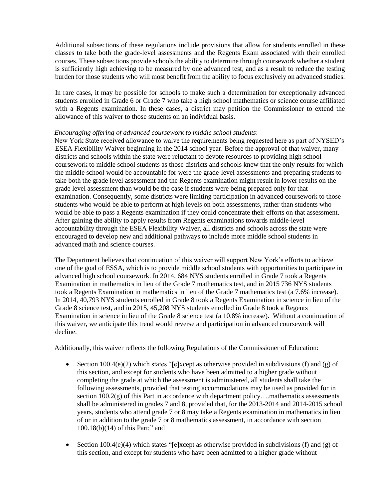Additional subsections of these regulations include provisions that allow for students enrolled in these classes to take both the grade-level assessments and the Regents Exam associated with their enrolled courses. These subsections provide schools the ability to determine through coursework whether a student is sufficiently high achieving to be measured by one advanced test, and as a result to reduce the testing burden for those students who will most benefit from the ability to focus exclusively on advanced studies.

In rare cases, it may be possible for schools to make such a determination for exceptionally advanced students enrolled in Grade 6 or Grade 7 who take a high school mathematics or science course affiliated with a Regents examination. In these cases, a district may petition the Commissioner to extend the allowance of this waiver to those students on an individual basis.

#### *Encouraging offering of advanced coursework to middle school students*:

New York State received allowance to waive the requirements being requested here as part of NYSED's ESEA Flexibility Waiver beginning in the 2014 school year. Before the approval of that waiver, many districts and schools within the state were reluctant to devote resources to providing high school coursework to middle school students as those districts and schools knew that the only results for which the middle school would be accountable for were the grade-level assessments and preparing students to take both the grade level assessment and the Regents examination might result in lower results on the grade level assessment than would be the case if students were being prepared only for that examination. Consequently, some districts were limiting participation in advanced coursework to those students who would be able to perform at high levels on both assessments, rather than students who would be able to pass a Regents examination if they could concentrate their efforts on that assessment. After gaining the ability to apply results from Regents examinations towards middle-level accountability through the ESEA Flexibility Waiver, all districts and schools across the state were encouraged to develop new and additional pathways to include more middle school students in advanced math and science courses.

The Department believes that continuation of this waiver will support New York's efforts to achieve one of the goal of ESSA, which is to provide middle school students with opportunities to participate in advanced high school coursework. In 2014, 684 NYS students enrolled in Grade 7 took a Regents Examination in mathematics in lieu of the Grade 7 mathematics test, and in 2015 736 NYS students took a Regents Examination in mathematics in lieu of the Grade 7 mathematics test (a 7.6% increase). In 2014, 40,793 NYS students enrolled in Grade 8 took a Regents Examination in science in lieu of the Grade 8 science test, and in 2015, 45,208 NYS students enrolled in Grade 8 took a Regents Examination in science in lieu of the Grade 8 science test (a 10.8% increase). Without a continuation of this waiver, we anticipate this trend would reverse and participation in advanced coursework will decline.

Additionally, this waiver reflects the following Regulations of the Commissioner of Education:

- Section 100.4(e)(2) which states "[e]xcept as otherwise provided in subdivisions (f) and (g) of this section, and except for students who have been admitted to a higher grade without completing the grade at which the assessment is administered, all students shall take the following assessments, provided that testing accommodations may be used as provided for in section  $100.2(g)$  of this Part in accordance with department policy... mathematics assessments shall be administered in grades 7 and 8, provided that, for the 2013-2014 and 2014-2015 school years, students who attend grade 7 or 8 may take a Regents examination in mathematics in lieu of or in addition to the grade 7 or 8 mathematics assessment, in accordance with section 100.18(b)(14) of this Part;" and
- Section 100.4(e)(4) which states "[e]xcept as otherwise provided in subdivisions (f) and (g) of this section, and except for students who have been admitted to a higher grade without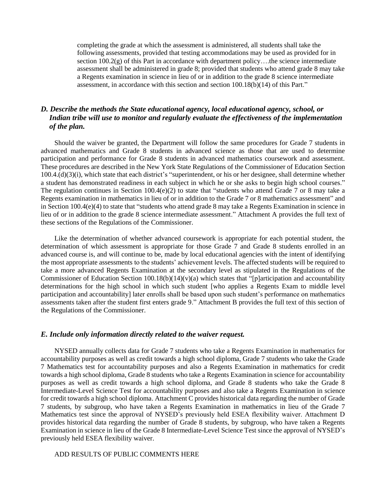completing the grade at which the assessment is administered, all students shall take the following assessments, provided that testing accommodations may be used as provided for in section 100.2(g) of this Part in accordance with department policy....the science intermediate assessment shall be administered in grade 8; provided that students who attend grade 8 may take a Regents examination in science in lieu of or in addition to the grade 8 science intermediate assessment, in accordance with this section and section 100.18(b)(14) of this Part."

# *D. Describe the methods the State educational agency, local educational agency, school, or Indian tribe will use to monitor and regularly evaluate the effectiveness of the implementation of the plan.*

Should the waiver be granted, the Department will follow the same procedures for Grade 7 students in advanced mathematics and Grade 8 students in advanced science as those that are used to determine participation and performance for Grade 8 students in advanced mathematics coursework and assessment. These procedures are described in the New York State Regulations of the Commissioner of Education Section 100.4.(d)(3)(i), which state that each district's "superintendent, or his or her designee, shall determine whether a student has demonstrated readiness in each subject in which he or she asks to begin high school courses." The regulation continues in Section 100.4(e)(2) to state that "students who attend Grade 7 or 8 may take a Regents examination in mathematics in lieu of or in addition to the Grade 7 or 8 mathematics assessment" and in Section 100.4(e)(4) to state that "students who attend grade 8 may take a Regents Examination in science in lieu of or in addition to the grade 8 science intermediate assessment." Attachment A provides the full text of these sections of the Regulations of the Commissioner.

Like the determination of whether advanced coursework is appropriate for each potential student, the determination of which assessment is appropriate for those Grade 7 and Grade 8 students enrolled in an advanced course is, and will continue to be, made by local educational agencies with the intent of identifying the most appropriate assessments to the students' achievement levels. The affected students will be required to take a more advanced Regents Examination at the secondary level as stipulated in the Regulations of the Commissioner of Education Section  $100.18(b)(14)(v)(a)$  which states that "[p]articipation and accountability determinations for the high school in which such student [who applies a Regents Exam to middle level participation and accountability] later enrolls shall be based upon such student's performance on mathematics assessments taken after the student first enters grade 9." Attachment B provides the full text of this section of the Regulations of the Commissioner.

### *E. Include only information directly related to the waiver request.*

NYSED annually collects data for Grade 7 students who take a Regents Examination in mathematics for accountability purposes as well as credit towards a high school diploma, Grade 7 students who take the Grade 7 Mathematics test for accountability purposes and also a Regents Examination in mathematics for credit towards a high school diploma, Grade 8 students who take a Regents Examination in science for accountability purposes as well as credit towards a high school diploma, and Grade 8 students who take the Grade 8 Intermediate-Level Science Test for accountability purposes and also take a Regents Examination in science for credit towards a high school diploma. Attachment C provides historical data regarding the number of Grade 7 students, by subgroup, who have taken a Regents Examination in mathematics in lieu of the Grade 7 Mathematics test since the approval of NYSED's previously held ESEA flexibility waiver. Attachment D provides historical data regarding the number of Grade 8 students, by subgroup, who have taken a Regents Examination in science in lieu of the Grade 8 Intermediate-Level Science Test since the approval of NYSED's previously held ESEA flexibility waiver.

## ADD RESULTS OF PUBLIC COMMENTS HERE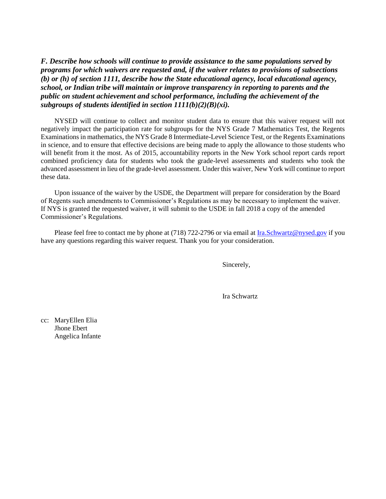*F. Describe how schools will continue to provide assistance to the same populations served by programs for which waivers are requested and, if the waiver relates to provisions of subsections (b) or (h) of section 1111, describe how the State educational agency, local educational agency, school, or Indian tribe will maintain or improve transparency in reporting to parents and the public on student achievement and school performance, including the achievement of the subgroups of students identified in section 1111(b)(2)(B)(xi).*

NYSED will continue to collect and monitor student data to ensure that this waiver request will not negatively impact the participation rate for subgroups for the NYS Grade 7 Mathematics Test, the Regents Examinations in mathematics, the NYS Grade 8 Intermediate-Level Science Test, or the Regents Examinations in science, and to ensure that effective decisions are being made to apply the allowance to those students who will benefit from it the most. As of 2015, accountability reports in the New York school report cards report combined proficiency data for students who took the grade-level assessments and students who took the advanced assessment in lieu of the grade-level assessment. Under this waiver, New York will continue to report these data.

Upon issuance of the waiver by the USDE, the Department will prepare for consideration by the Board of Regents such amendments to Commissioner's Regulations as may be necessary to implement the waiver. If NYS is granted the requested waiver, it will submit to the USDE in fall 2018 a copy of the amended Commissioner's Regulations.

Please feel free to contact me by phone at (718) 722-2796 or via email at [Ira.Schwartz@nysed.gov](mailto:Ira.Schwartz@nysed.gov) if you have any questions regarding this waiver request. Thank you for your consideration.

Sincerely,

Ira Schwartz

cc: MaryEllen Elia Jhone Ebert Angelica Infante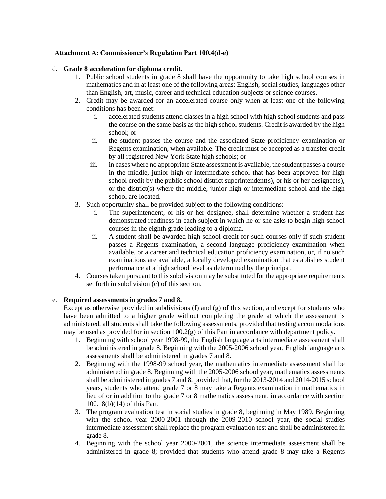## **Attachment A: Commissioner's Regulation Part 100.4(d-e)**

### d. **Grade 8 acceleration for diploma credit.**

- 1. Public school students in grade 8 shall have the opportunity to take high school courses in mathematics and in at least one of the following areas: English, social studies, languages other than English, art, music, career and technical education subjects or science courses.
- 2. Credit may be awarded for an accelerated course only when at least one of the following conditions has been met:
	- i. accelerated students attend classes in a high school with high school students and pass the course on the same basis as the high school students. Credit is awarded by the high school; or
	- ii. the student passes the course and the associated State proficiency examination or Regents examination, when available. The credit must be accepted as a transfer credit by all registered New York State high schools; or
	- iii. in cases where no appropriate State assessment is available, the student passes a course in the middle, junior high or intermediate school that has been approved for high school credit by the public school district superintendent(s), or his or her designee(s), or the district(s) where the middle, junior high or intermediate school and the high school are located.
- 3. Such opportunity shall be provided subject to the following conditions:
	- i. The superintendent, or his or her designee, shall determine whether a student has demonstrated readiness in each subject in which he or she asks to begin high school courses in the eighth grade leading to a diploma.
	- ii. A student shall be awarded high school credit for such courses only if such student passes a Regents examination, a second language proficiency examination when available, or a career and technical education proficiency examination, or, if no such examinations are available, a locally developed examination that establishes student performance at a high school level as determined by the principal.
- 4. Courses taken pursuant to this subdivision may be substituted for the appropriate requirements set forth in subdivision (c) of this section.

# e. **Required assessments in grades 7 and 8.**

Except as otherwise provided in subdivisions (f) and (g) of this section, and except for students who have been admitted to a higher grade without completing the grade at which the assessment is administered, all students shall take the following assessments, provided that testing accommodations may be used as provided for in section 100.2(g) of this Part in accordance with department policy.

- 1. Beginning with school year 1998-99, the English language arts intermediate assessment shall be administered in grade 8. Beginning with the 2005-2006 school year, English language arts assessments shall be administered in grades 7 and 8.
- 2. Beginning with the 1998-99 school year, the mathematics intermediate assessment shall be administered in grade 8. Beginning with the 2005-2006 school year, mathematics assessments shall be administered in grades 7 and 8, provided that, for the 2013-2014 and 2014-2015 school years, students who attend grade 7 or 8 may take a Regents examination in mathematics in lieu of or in addition to the grade 7 or 8 mathematics assessment, in accordance with section 100.18(b)(14) of this Part.
- 3. The program evaluation test in social studies in grade 8, beginning in May 1989. Beginning with the school year 2000-2001 through the 2009-2010 school year, the social studies intermediate assessment shall replace the program evaluation test and shall be administered in grade 8.
- 4. Beginning with the school year 2000-2001, the science intermediate assessment shall be administered in grade 8; provided that students who attend grade 8 may take a Regents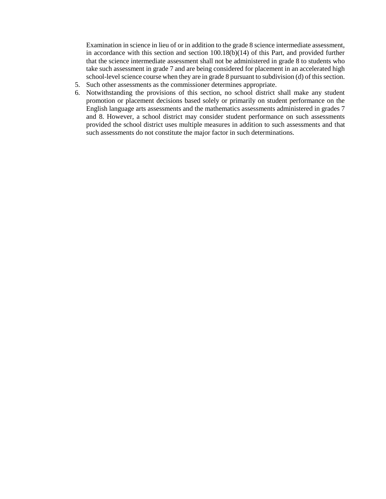Examination in science in lieu of or in addition to the grade 8 science intermediate assessment, in accordance with this section and section 100.18(b)(14) of this Part, and provided further that the science intermediate assessment shall not be administered in grade 8 to students who take such assessment in grade 7 and are being considered for placement in an accelerated high school-level science course when they are in grade 8 pursuant to subdivision (d) of this section.

- 5. Such other assessments as the commissioner determines appropriate.
- 6. Notwithstanding the provisions of this section, no school district shall make any student promotion or placement decisions based solely or primarily on student performance on the English language arts assessments and the mathematics assessments administered in grades 7 and 8. However, a school district may consider student performance on such assessments provided the school district uses multiple measures in addition to such assessments and that such assessments do not constitute the major factor in such determinations.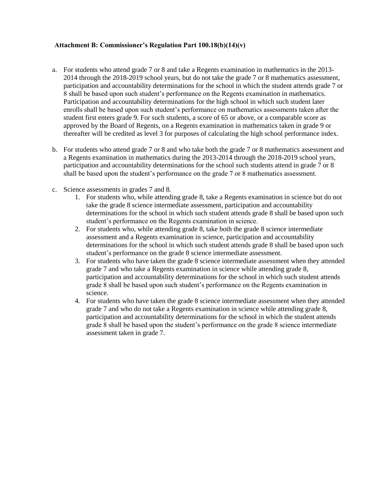## **Attachment B: Commissioner's Regulation Part 100.18(b)(14)(v)**

- a. For students who attend grade 7 or 8 and take a Regents examination in mathematics in the 2013- 2014 through the 2018-2019 school years, but do not take the grade 7 or 8 mathematics assessment, participation and accountability determinations for the school in which the student attends grade 7 or 8 shall be based upon such student's performance on the Regents examination in mathematics. Participation and accountability determinations for the high school in which such student later enrolls shall be based upon such student's performance on mathematics assessments taken after the student first enters grade 9. For such students, a score of 65 or above, or a comparable score as approved by the Board of Regents, on a Regents examination in mathematics taken in grade 9 or thereafter will be credited as level 3 for purposes of calculating the high school performance index.
- b. For students who attend grade 7 or 8 and who take both the grade 7 or 8 mathematics assessment and a Regents examination in mathematics during the 2013-2014 through the 2018-2019 school years, participation and accountability determinations for the school such students attend in grade 7 or 8 shall be based upon the student's performance on the grade 7 or 8 mathematics assessment.
- c. Science assessments in grades 7 and 8.
	- 1. For students who, while attending grade 8, take a Regents examination in science but do not take the grade 8 science intermediate assessment, participation and accountability determinations for the school in which such student attends grade 8 shall be based upon such student's performance on the Regents examination in science.
	- 2. For students who, while attending grade 8, take both the grade 8 science intermediate assessment and a Regents examination in science, participation and accountability determinations for the school in which such student attends grade 8 shall be based upon such student's performance on the grade 8 science intermediate assessment.
	- 3. For students who have taken the grade 8 science intermediate assessment when they attended grade 7 and who take a Regents examination in science while attending grade 8, participation and accountability determinations for the school in which such student attends grade 8 shall be based upon such student's performance on the Regents examination in science.
	- 4. For students who have taken the grade 8 science intermediate assessment when they attended grade 7 and who do not take a Regents examination in science while attending grade 8, participation and accountability determinations for the school in which the student attends grade 8 shall be based upon the student's performance on the grade 8 science intermediate assessment taken in grade 7.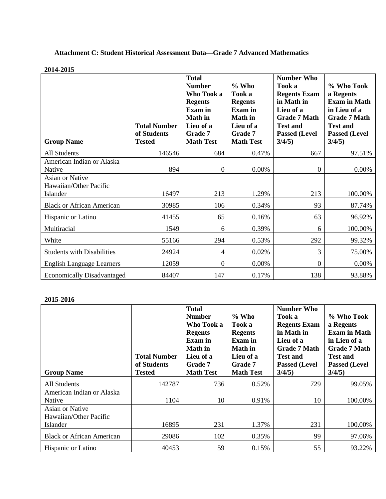# **Attachment C: Student Historical Assessment Data—Grade 7 Advanced Mathematics**

#### **2014-2015**

| <b>Group Name</b>                                             | <b>Total Number</b><br>of Students<br><b>Tested</b> | <b>Total</b><br><b>Number</b><br>Who Took a<br><b>Regents</b><br><b>Exam</b> in<br><b>Math</b> in<br>Lieu of a<br>Grade 7<br><b>Math Test</b> | $%$ Who<br>Took a<br><b>Regents</b><br><b>Exam</b> in<br><b>Math</b> in<br>Lieu of a<br>Grade 7<br><b>Math Test</b> | <b>Number Who</b><br>Took a<br><b>Regents Exam</b><br>in Math in<br>Lieu of a<br><b>Grade 7 Math</b><br><b>Test and</b><br><b>Passed (Level</b><br>3/4/5) | % Who Took<br>a Regents<br><b>Exam in Math</b><br>in Lieu of a<br><b>Grade 7 Math</b><br><b>Test and</b><br><b>Passed (Level</b><br>3/4/5) |
|---------------------------------------------------------------|-----------------------------------------------------|-----------------------------------------------------------------------------------------------------------------------------------------------|---------------------------------------------------------------------------------------------------------------------|-----------------------------------------------------------------------------------------------------------------------------------------------------------|--------------------------------------------------------------------------------------------------------------------------------------------|
| <b>All Students</b>                                           | 146546                                              | 684                                                                                                                                           | 0.47%                                                                                                               | 667                                                                                                                                                       | 97.51%                                                                                                                                     |
| American Indian or Alaska<br>Native<br><b>Asian or Native</b> | 894                                                 | $\boldsymbol{0}$                                                                                                                              | 0.00%                                                                                                               | $\boldsymbol{0}$                                                                                                                                          | 0.00%                                                                                                                                      |
| Hawaiian/Other Pacific<br>Islander                            | 16497                                               | 213                                                                                                                                           | 1.29%                                                                                                               | 213                                                                                                                                                       | 100.00%                                                                                                                                    |
| <b>Black or African American</b>                              | 30985                                               | 106                                                                                                                                           | 0.34%                                                                                                               | 93                                                                                                                                                        | 87.74%                                                                                                                                     |
| Hispanic or Latino                                            | 41455                                               | 65                                                                                                                                            | 0.16%                                                                                                               | 63                                                                                                                                                        | 96.92%                                                                                                                                     |
| Multiracial                                                   | 1549                                                | 6                                                                                                                                             | 0.39%                                                                                                               | 6                                                                                                                                                         | 100.00%                                                                                                                                    |
| White                                                         | 55166                                               | 294                                                                                                                                           | 0.53%                                                                                                               | 292                                                                                                                                                       | 99.32%                                                                                                                                     |
| <b>Students with Disabilities</b>                             | 24924                                               | 4                                                                                                                                             | 0.02%                                                                                                               | 3                                                                                                                                                         | 75.00%                                                                                                                                     |
| <b>English Language Learners</b>                              | 12059                                               | $\boldsymbol{0}$                                                                                                                              | 0.00%                                                                                                               | $\boldsymbol{0}$                                                                                                                                          | 0.00%                                                                                                                                      |
| <b>Economically Disadvantaged</b>                             | 84407                                               | 147                                                                                                                                           | 0.17%                                                                                                               | 138                                                                                                                                                       | 93.88%                                                                                                                                     |

| <b>Group Name</b>                         | <b>Total Number</b><br>of Students<br><b>Tested</b> | <b>Total</b><br><b>Number</b><br>Who Took a<br><b>Regents</b><br>Exam in<br><b>Math</b> in<br>Lieu of a<br>Grade 7<br><b>Math Test</b> | $\%$ Who<br>Took a<br><b>Regents</b><br><b>Exam</b> in<br><b>Math</b> in<br>Lieu of a<br>Grade 7<br><b>Math Test</b> | <b>Number Who</b><br>Took a<br><b>Regents Exam</b><br>in Math in<br>Lieu of a<br><b>Grade 7 Math</b><br><b>Test and</b><br><b>Passed (Level</b><br>3/4/5) | % Who Took<br>a Regents<br><b>Exam in Math</b><br>in Lieu of a<br><b>Grade 7 Math</b><br><b>Test and</b><br><b>Passed (Level</b><br>$3/4/5$ ) |
|-------------------------------------------|-----------------------------------------------------|----------------------------------------------------------------------------------------------------------------------------------------|----------------------------------------------------------------------------------------------------------------------|-----------------------------------------------------------------------------------------------------------------------------------------------------------|-----------------------------------------------------------------------------------------------------------------------------------------------|
| All Students                              | 142787                                              | 736                                                                                                                                    | 0.52%                                                                                                                | 729                                                                                                                                                       | 99.05%                                                                                                                                        |
| American Indian or Alaska<br>Native       | 1104                                                | 10                                                                                                                                     | 0.91%                                                                                                                | 10                                                                                                                                                        | 100.00%                                                                                                                                       |
| Asian or Native<br>Hawaiian/Other Pacific |                                                     |                                                                                                                                        |                                                                                                                      |                                                                                                                                                           |                                                                                                                                               |
| Islander                                  | 16895                                               | 231                                                                                                                                    | 1.37%                                                                                                                | 231                                                                                                                                                       | 100.00%                                                                                                                                       |
| <b>Black or African American</b>          | 29086                                               | 102                                                                                                                                    | 0.35%                                                                                                                | 99                                                                                                                                                        | 97.06%                                                                                                                                        |
| <b>Hispanic or Latino</b>                 | 40453                                               | 59                                                                                                                                     | 0.15%                                                                                                                | 55                                                                                                                                                        | 93.22%                                                                                                                                        |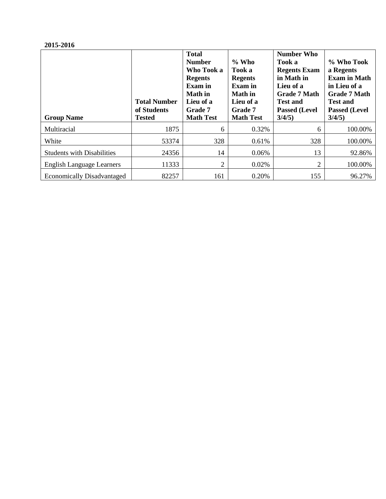| <b>Group Name</b>                 | <b>Total Number</b><br>of Students<br><b>Tested</b> | <b>Total</b><br><b>Number</b><br>Who Took a<br><b>Regents</b><br><b>Exam</b> in<br><b>Math</b> in<br>Lieu of a<br>Grade 7<br><b>Math Test</b> | $\%$ Who<br>Took a<br><b>Regents</b><br><b>Exam</b> in<br><b>Math</b> in<br>Lieu of a<br>Grade 7<br><b>Math Test</b> | <b>Number Who</b><br>Took a<br><b>Regents Exam</b><br>in Math in<br>Lieu of a<br><b>Grade 7 Math</b><br><b>Test and</b><br><b>Passed (Level)</b><br>$3/4/5$ ) | % Who Took<br>a Regents<br><b>Exam in Math</b><br>in Lieu of a<br><b>Grade 7 Math</b><br><b>Test and</b><br><b>Passed (Level</b><br>$3/4/5$ ) |
|-----------------------------------|-----------------------------------------------------|-----------------------------------------------------------------------------------------------------------------------------------------------|----------------------------------------------------------------------------------------------------------------------|---------------------------------------------------------------------------------------------------------------------------------------------------------------|-----------------------------------------------------------------------------------------------------------------------------------------------|
| Multiracial                       | 1875                                                | 6                                                                                                                                             | 0.32%                                                                                                                | 6                                                                                                                                                             | 100.00%                                                                                                                                       |
| White                             | 53374                                               | 328                                                                                                                                           | 0.61%                                                                                                                | 328                                                                                                                                                           | 100.00%                                                                                                                                       |
| <b>Students with Disabilities</b> | 24356                                               | 14                                                                                                                                            | 0.06%                                                                                                                | 13                                                                                                                                                            | 92.86%                                                                                                                                        |
| <b>English Language Learners</b>  | 11333                                               | 2                                                                                                                                             | 0.02%                                                                                                                | $\overline{2}$                                                                                                                                                | 100.00%                                                                                                                                       |
| <b>Economically Disadvantaged</b> | 82257                                               | 161                                                                                                                                           | 0.20%                                                                                                                | 155                                                                                                                                                           | 96.27%                                                                                                                                        |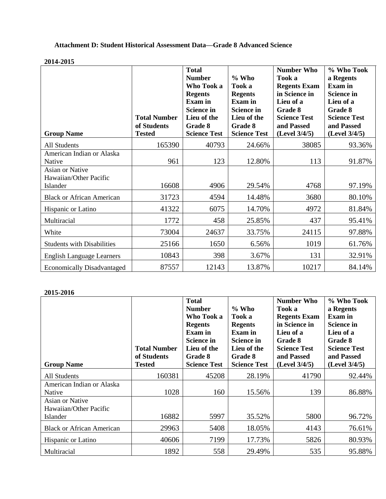# **Attachment D: Student Historical Assessment Data—Grade 8 Advanced Science**

#### **2014-2015**

| <b>Group Name</b>                                            | <b>Total Number</b><br>of Students<br><b>Tested</b> | <b>Total</b><br><b>Number</b><br>Who Took a<br><b>Regents</b><br><b>Exam</b> in<br><b>Science in</b><br>Lieu of the<br>Grade 8<br><b>Science Test</b> | % Who<br>Took a<br><b>Regents</b><br><b>Exam</b> in<br><b>Science in</b><br>Lieu of the<br>Grade 8<br><b>Science Test</b> | <b>Number Who</b><br>Took a<br><b>Regents Exam</b><br>in Science in<br>Lieu of a<br>Grade 8<br><b>Science Test</b><br>and Passed<br>(Level 3/4/5) | % Who Took<br>a Regents<br><b>Exam</b> in<br><b>Science in</b><br>Lieu of a<br>Grade 8<br><b>Science Test</b><br>and Passed<br>$(Level\ 3/4/5)$ |
|--------------------------------------------------------------|-----------------------------------------------------|-------------------------------------------------------------------------------------------------------------------------------------------------------|---------------------------------------------------------------------------------------------------------------------------|---------------------------------------------------------------------------------------------------------------------------------------------------|-------------------------------------------------------------------------------------------------------------------------------------------------|
| <b>All Students</b>                                          | 165390                                              | 40793                                                                                                                                                 | 24.66%                                                                                                                    | 38085                                                                                                                                             | 93.36%                                                                                                                                          |
| American Indian or Alaska<br>Native                          | 961                                                 | 123                                                                                                                                                   | 12.80%                                                                                                                    | 113                                                                                                                                               | 91.87%                                                                                                                                          |
| <b>Asian or Native</b><br>Hawaiian/Other Pacific<br>Islander | 16608                                               | 4906                                                                                                                                                  | 29.54%                                                                                                                    | 4768                                                                                                                                              | 97.19%                                                                                                                                          |
| <b>Black or African American</b>                             | 31723                                               | 4594                                                                                                                                                  | 14.48%                                                                                                                    | 3680                                                                                                                                              | 80.10%                                                                                                                                          |
| Hispanic or Latino                                           | 41322                                               | 6075                                                                                                                                                  | 14.70%                                                                                                                    | 4972                                                                                                                                              | 81.84%                                                                                                                                          |
| Multiracial                                                  | 1772                                                | 458                                                                                                                                                   | 25.85%                                                                                                                    | 437                                                                                                                                               | 95.41%                                                                                                                                          |
| White                                                        | 73004                                               | 24637                                                                                                                                                 | 33.75%                                                                                                                    | 24115                                                                                                                                             | 97.88%                                                                                                                                          |
| <b>Students with Disabilities</b>                            | 25166                                               | 1650                                                                                                                                                  | 6.56%                                                                                                                     | 1019                                                                                                                                              | 61.76%                                                                                                                                          |
| <b>English Language Learners</b>                             | 10843                                               | 398                                                                                                                                                   | 3.67%                                                                                                                     | 131                                                                                                                                               | 32.91%                                                                                                                                          |
| <b>Economically Disadvantaged</b>                            | 87557                                               | 12143                                                                                                                                                 | 13.87%                                                                                                                    | 10217                                                                                                                                             | 84.14%                                                                                                                                          |

|                                                              |                                                     | <b>Total</b><br><b>Number</b><br>Who Took a<br><b>Regents</b><br>Exam in | $\%$ Who<br>Took a<br><b>Regents</b><br><b>Exam</b> in             | <b>Number Who</b><br>Took a<br><b>Regents Exam</b><br>in Science in<br>Lieu of a | % Who Took<br>a Regents<br><b>Exam</b> in<br><b>Science in</b><br>Lieu of a |
|--------------------------------------------------------------|-----------------------------------------------------|--------------------------------------------------------------------------|--------------------------------------------------------------------|----------------------------------------------------------------------------------|-----------------------------------------------------------------------------|
| <b>Group Name</b>                                            | <b>Total Number</b><br>of Students<br><b>Tested</b> | <b>Science in</b><br>Lieu of the<br>Grade 8<br><b>Science Test</b>       | <b>Science in</b><br>Lieu of the<br>Grade 8<br><b>Science Test</b> | Grade 8<br><b>Science Test</b><br>and Passed<br>$(Level\ 3/4/5)$                 | Grade 8<br><b>Science Test</b><br>and Passed<br>(Level 3/4/5)               |
| All Students                                                 | 160381                                              | 45208                                                                    | 28.19%                                                             | 41790                                                                            | 92.44%                                                                      |
| American Indian or Alaska<br>Native                          | 1028                                                | 160                                                                      | 15.56%                                                             | 139                                                                              | 86.88%                                                                      |
| <b>Asian or Native</b><br>Hawaiian/Other Pacific<br>Islander | 16882                                               | 5997                                                                     | 35.52%                                                             | 5800                                                                             | 96.72%                                                                      |
| <b>Black or African American</b>                             | 29963                                               | 5408                                                                     | 18.05%                                                             | 4143                                                                             | 76.61%                                                                      |
| Hispanic or Latino                                           | 40606                                               | 7199                                                                     | 17.73%                                                             | 5826                                                                             | 80.93%                                                                      |
| Multiracial                                                  | 1892                                                | 558                                                                      | 29.49%                                                             | 535                                                                              | 95.88%                                                                      |